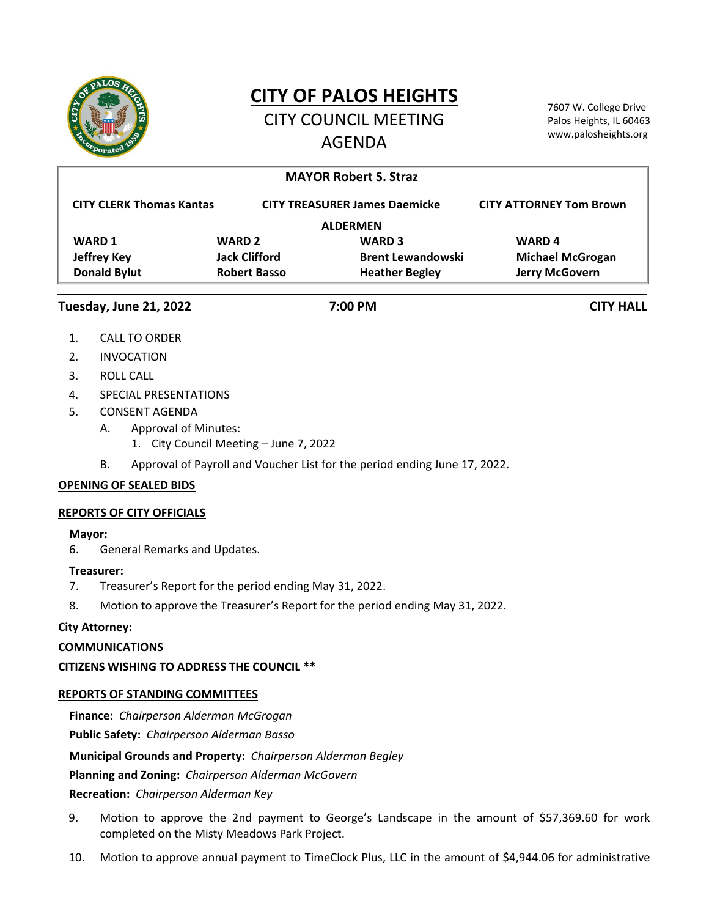

# **CITY OF PALOS HEIGHTS**

CITY COUNCIL MEETING AGENDA

7607 W. College Drive Palos Heights, IL 60463 www.palosheights.org

|                                 |                      | <b>MAYOR Robert S. Straz</b>         |                                |
|---------------------------------|----------------------|--------------------------------------|--------------------------------|
| <b>CITY CLERK Thomas Kantas</b> |                      | <b>CITY TREASURER James Daemicke</b> | <b>CITY ATTORNEY Tom Brown</b> |
|                                 |                      | <b>ALDERMEN</b>                      |                                |
| <b>WARD 1</b>                   | <b>WARD 2</b>        | <b>WARD 3</b>                        | <b>WARD4</b>                   |
| <b>Jeffrey Key</b>              | <b>Jack Clifford</b> | <b>Brent Lewandowski</b>             | <b>Michael McGrogan</b>        |
| <b>Donald Bylut</b>             | <b>Robert Basso</b>  | <b>Heather Begley</b>                | <b>Jerry McGovern</b>          |
| Tuesday, June 21, 2022          | 7:00 PM              |                                      | <b>CITY HALL</b>               |

- 1. CALL TO ORDER
- 2. INVOCATION
- 3. ROLL CALL
- 4. SPECIAL PRESENTATIONS
- 5. CONSENT AGENDA
	- A. Approval of Minutes:
		- 1. City Council Meeting June 7, 2022
	- B. Approval of Payroll and Voucher List for the period ending June 17, 2022.

## **OPENING OF SEALED BIDS**

## **REPORTS OF CITY OFFICIALS**

## **Mayor:**

6. General Remarks and Updates.

## **Treasurer:**

- 7. Treasurer's Report for the period ending May 31, 2022.
- 8. Motion to approve the Treasurer's Report for the period ending May 31, 2022.

# **City Attorney:**

## **COMMUNICATIONS**

**CITIZENS WISHING TO ADDRESS THE COUNCIL \*\***

## **REPORTS OF STANDING COMMITTEES**

**Finance:** *Chairperson Alderman McGrogan* **Public Safety:** *Chairperson Alderman Basso* **Municipal Grounds and Property:** *Chairperson Alderman Begley* **Planning and Zoning:** *Chairperson Alderman McGovern*

**Recreation:** *Chairperson Alderman Key*

- 9. Motion to approve the 2nd payment to George's Landscape in the amount of \$57,369.60 for work completed on the Misty Meadows Park Project.
- 10. Motion to approve annual payment to TimeClock Plus, LLC in the amount of \$4,944.06 for administrative